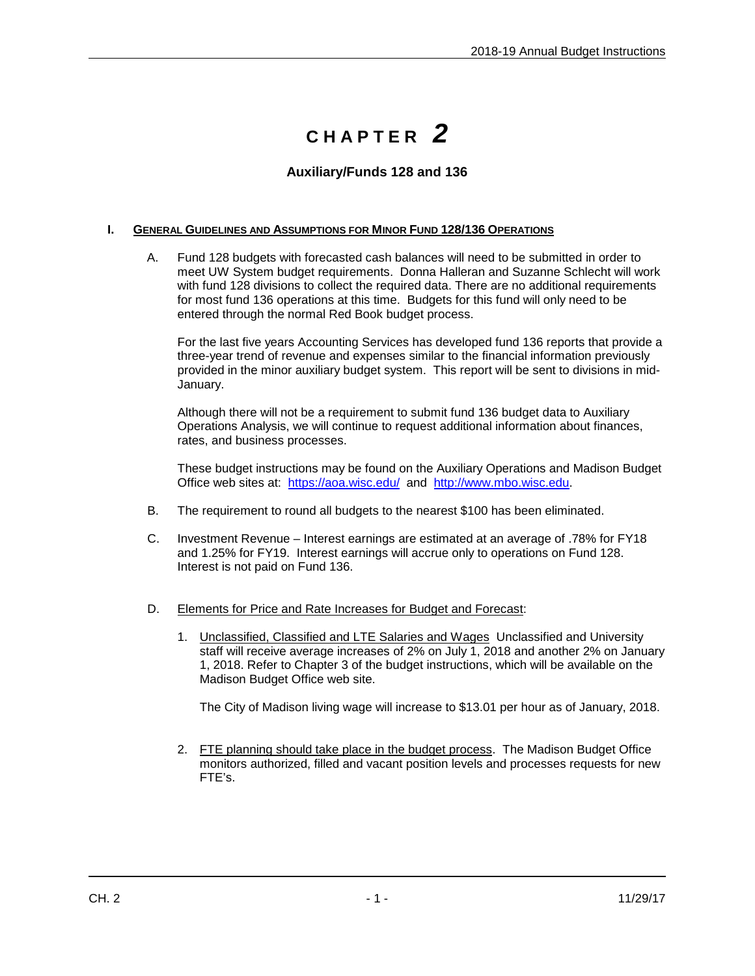## **C H A P T E R** *2*

## **Auxiliary/Funds 128 and 136**

## **I. GENERAL GUIDELINES AND ASSUMPTIONS FOR MINOR FUND 128/136 OPERATIONS**

A. Fund 128 budgets with forecasted cash balances will need to be submitted in order to meet UW System budget requirements. Donna Halleran and Suzanne Schlecht will work with fund 128 divisions to collect the required data. There are no additional requirements for most fund 136 operations at this time. Budgets for this fund will only need to be entered through the normal Red Book budget process.

For the last five years Accounting Services has developed fund 136 reports that provide a three-year trend of revenue and expenses similar to the financial information previously provided in the minor auxiliary budget system. This report will be sent to divisions in mid-January.

Although there will not be a requirement to submit fund 136 budget data to Auxiliary Operations Analysis, we will continue to request additional information about finances, rates, and business processes.

These budget instructions may be found on the Auxiliary Operations and Madison Budget Office web sites at: <https://aoa.wisc.edu/>and [http://www.mbo.wisc.edu.](http://www.mbo.wisc.edu/)

- B. The requirement to round all budgets to the nearest \$100 has been eliminated.
- C. Investment Revenue Interest earnings are estimated at an average of .78% for FY18 and 1.25% for FY19. Interest earnings will accrue only to operations on Fund 128. Interest is not paid on Fund 136.
- D. Elements for Price and Rate Increases for Budget and Forecast:
	- 1. Unclassified, Classified and LTE Salaries and Wages Unclassified and University staff will receive average increases of 2% on July 1, 2018 and another 2% on January 1, 2018. Refer to Chapter 3 of the budget instructions, which will be available on the Madison Budget Office web site.

The City of Madison living wage will increase to \$13.01 per hour as of January, 2018.

2. FTE planning should take place in the budget process. The Madison Budget Office monitors authorized, filled and vacant position levels and processes requests for new FTE's.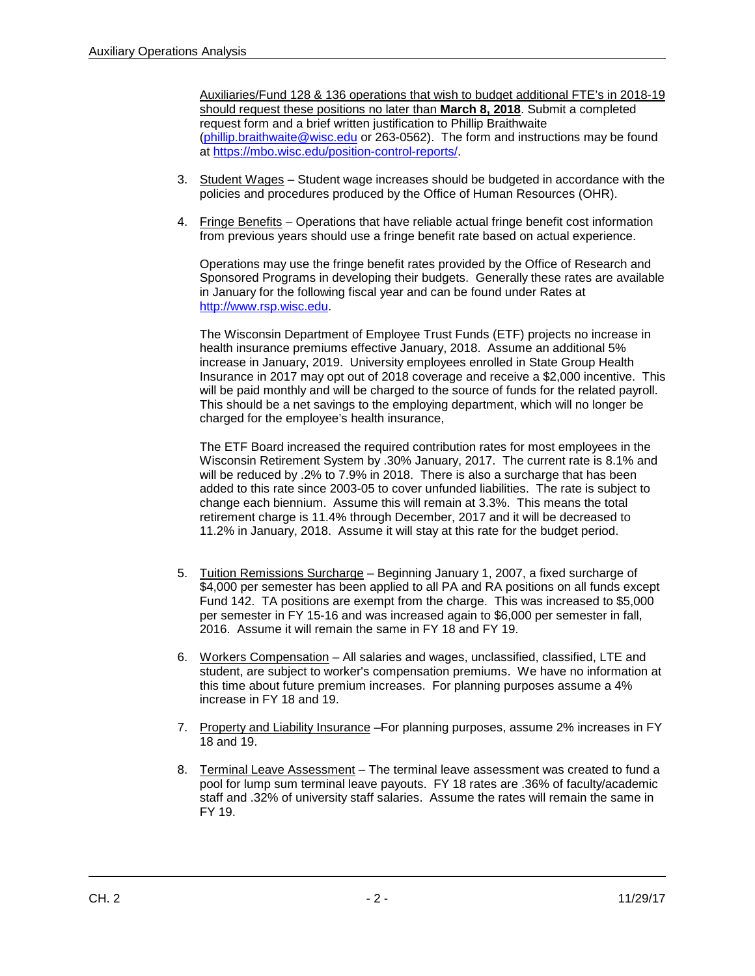Auxiliaries/Fund 128 & 136 operations that wish to budget additional FTE's in 2018-19 should request these positions no later than **March 8, 2018**. Submit a completed request form and a brief written justification to Phillip Braithwaite [\(phillip.braithwaite@wisc.edu](mailto:phillip.braithwaite@wisc.edu) or 263-0562). The form and instructions may be found at [https://mbo.wisc.edu/position-control-reports/.](https://mbo.wisc.edu/position-control-reports/)

- 3. Student Wages Student wage increases should be budgeted in accordance with the policies and procedures produced by the Office of Human Resources (OHR).
- 4. Fringe Benefits Operations that have reliable actual fringe benefit cost information from previous years should use a fringe benefit rate based on actual experience.

Operations may use the fringe benefit rates provided by the Office of Research and Sponsored Programs in developing their budgets. Generally these rates are available in January for the following fiscal year and can be found under Rates at [http://www.rsp.wisc.edu.](http://www.rsp.wisc.edu/)

The Wisconsin Department of Employee Trust Funds (ETF) projects no increase in health insurance premiums effective January, 2018. Assume an additional 5% increase in January, 2019. University employees enrolled in State Group Health Insurance in 2017 may opt out of 2018 coverage and receive a \$2,000 incentive. This will be paid monthly and will be charged to the source of funds for the related payroll. This should be a net savings to the employing department, which will no longer be charged for the employee's health insurance,

The ETF Board increased the required contribution rates for most employees in the Wisconsin Retirement System by .30% January, 2017. The current rate is 8.1% and will be reduced by .2% to 7.9% in 2018. There is also a surcharge that has been added to this rate since 2003-05 to cover unfunded liabilities. The rate is subject to change each biennium. Assume this will remain at 3.3%. This means the total retirement charge is 11.4% through December, 2017 and it will be decreased to 11.2% in January, 2018. Assume it will stay at this rate for the budget period.

- 5. Tuition Remissions Surcharge Beginning January 1, 2007, a fixed surcharge of \$4,000 per semester has been applied to all PA and RA positions on all funds except Fund 142. TA positions are exempt from the charge. This was increased to \$5,000 per semester in FY 15-16 and was increased again to \$6,000 per semester in fall, 2016. Assume it will remain the same in FY 18 and FY 19.
- 6. Workers Compensation All salaries and wages, unclassified, classified, LTE and student, are subject to worker's compensation premiums. We have no information at this time about future premium increases. For planning purposes assume a 4% increase in FY 18 and 19.
- 7. Property and Liability Insurance –For planning purposes, assume 2% increases in FY 18 and 19.
- 8. Terminal Leave Assessment The terminal leave assessment was created to fund a pool for lump sum terminal leave payouts. FY 18 rates are .36% of faculty/academic staff and .32% of university staff salaries. Assume the rates will remain the same in FY 19.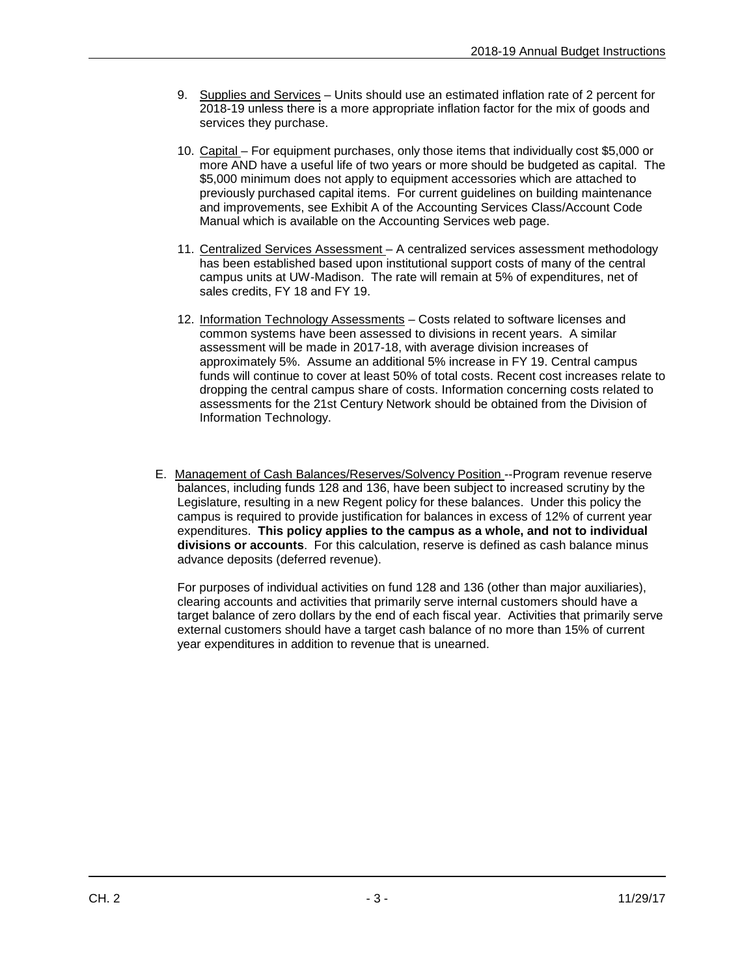- 9. Supplies and Services Units should use an estimated inflation rate of 2 percent for 2018-19 unless there is a more appropriate inflation factor for the mix of goods and services they purchase.
- 10. Capital For equipment purchases, only those items that individually cost \$5,000 or more AND have a useful life of two years or more should be budgeted as capital. The \$5,000 minimum does not apply to equipment accessories which are attached to previously purchased capital items. For current guidelines on building maintenance and improvements, see Exhibit A of the Accounting Services Class/Account Code Manual which is available on the Accounting Services web page.
- 11. Centralized Services Assessment A centralized services assessment methodology has been established based upon institutional support costs of many of the central campus units at UW-Madison. The rate will remain at 5% of expenditures, net of sales credits, FY 18 and FY 19.
- 12. Information Technology Assessments Costs related to software licenses and common systems have been assessed to divisions in recent years. A similar assessment will be made in 2017-18, with average division increases of approximately 5%. Assume an additional 5% increase in FY 19. Central campus funds will continue to cover at least 50% of total costs. Recent cost increases relate to dropping the central campus share of costs. Information concerning costs related to assessments for the 21st Century Network should be obtained from the Division of Information Technology.
- E. Management of Cash Balances/Reserves/Solvency Position --Program revenue reserve balances, including funds 128 and 136, have been subject to increased scrutiny by the Legislature, resulting in a new Regent policy for these balances. Under this policy the campus is required to provide justification for balances in excess of 12% of current year expenditures. **This policy applies to the campus as a whole, and not to individual divisions or accounts**. For this calculation, reserve is defined as cash balance minus advance deposits (deferred revenue).

For purposes of individual activities on fund 128 and 136 (other than major auxiliaries), clearing accounts and activities that primarily serve internal customers should have a target balance of zero dollars by the end of each fiscal year. Activities that primarily serve external customers should have a target cash balance of no more than 15% of current year expenditures in addition to revenue that is unearned.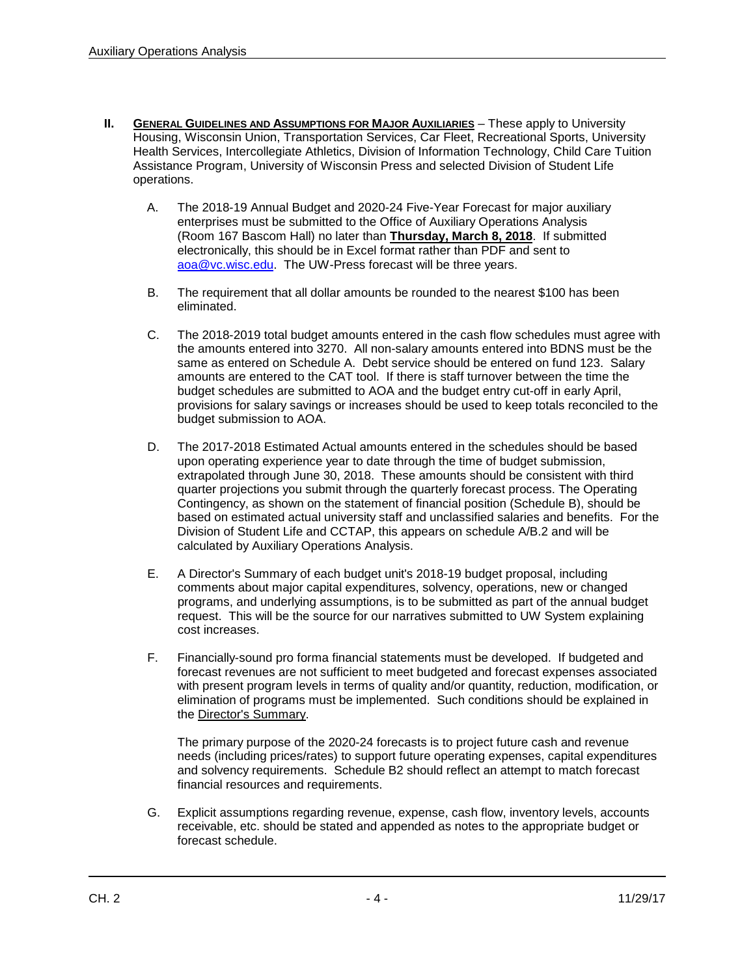- **II. GENERAL GUIDELINES AND ASSUMPTIONS FOR MAJOR AUXILIARIES** These apply to University Housing, Wisconsin Union, Transportation Services, Car Fleet, Recreational Sports, University Health Services, Intercollegiate Athletics, Division of Information Technology, Child Care Tuition Assistance Program, University of Wisconsin Press and selected Division of Student Life operations.
	- A. The 2018-19 Annual Budget and 2020-24 Five-Year Forecast for major auxiliary enterprises must be submitted to the Office of Auxiliary Operations Analysis (Room 167 Bascom Hall) no later than **Thursday, March 8, 2018**. If submitted electronically, this should be in Excel format rather than PDF and sent to aoa@vc.wisc.edu. The UW-Press forecast will be three years.
	- B. The requirement that all dollar amounts be rounded to the nearest \$100 has been eliminated.
	- C. The 2018-2019 total budget amounts entered in the cash flow schedules must agree with the amounts entered into 3270. All non-salary amounts entered into BDNS must be the same as entered on Schedule A. Debt service should be entered on fund 123. Salary amounts are entered to the CAT tool. If there is staff turnover between the time the budget schedules are submitted to AOA and the budget entry cut-off in early April, provisions for salary savings or increases should be used to keep totals reconciled to the budget submission to AOA.
	- D. The 2017-2018 Estimated Actual amounts entered in the schedules should be based upon operating experience year to date through the time of budget submission, extrapolated through June 30, 2018. These amounts should be consistent with third quarter projections you submit through the quarterly forecast process. The Operating Contingency, as shown on the statement of financial position (Schedule B), should be based on estimated actual university staff and unclassified salaries and benefits. For the Division of Student Life and CCTAP, this appears on schedule A/B.2 and will be calculated by Auxiliary Operations Analysis.
	- E. A Director's Summary of each budget unit's 2018-19 budget proposal, including comments about major capital expenditures, solvency, operations, new or changed programs, and underlying assumptions, is to be submitted as part of the annual budget request. This will be the source for our narratives submitted to UW System explaining cost increases.
	- F. Financially-sound pro forma financial statements must be developed. If budgeted and forecast revenues are not sufficient to meet budgeted and forecast expenses associated with present program levels in terms of quality and/or quantity, reduction, modification, or elimination of programs must be implemented. Such conditions should be explained in the Director's Summary.

The primary purpose of the 2020-24 forecasts is to project future cash and revenue needs (including prices/rates) to support future operating expenses, capital expenditures and solvency requirements. Schedule B2 should reflect an attempt to match forecast financial resources and requirements.

G. Explicit assumptions regarding revenue, expense, cash flow, inventory levels, accounts receivable, etc. should be stated and appended as notes to the appropriate budget or forecast schedule.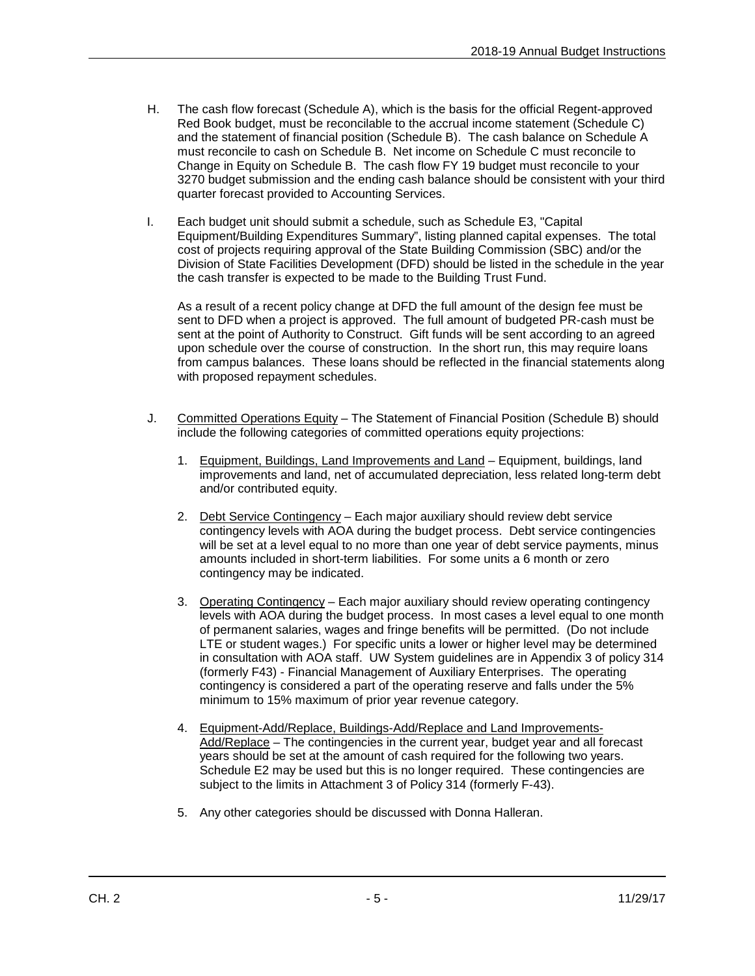- H. The cash flow forecast (Schedule A), which is the basis for the official Regent-approved Red Book budget, must be reconcilable to the accrual income statement (Schedule C) and the statement of financial position (Schedule B). The cash balance on Schedule A must reconcile to cash on Schedule B. Net income on Schedule C must reconcile to Change in Equity on Schedule B.The cash flow FY 19 budget must reconcile to your 3270 budget submission and the ending cash balance should be consistent with your third quarter forecast provided to Accounting Services.
- I. Each budget unit should submit a schedule, such as Schedule E3, "Capital Equipment/Building Expenditures Summary", listing planned capital expenses. The total cost of projects requiring approval of the State Building Commission (SBC) and/or the Division of State Facilities Development (DFD) should be listed in the schedule in the year the cash transfer is expected to be made to the Building Trust Fund.

As a result of a recent policy change at DFD the full amount of the design fee must be sent to DFD when a project is approved. The full amount of budgeted PR-cash must be sent at the point of Authority to Construct. Gift funds will be sent according to an agreed upon schedule over the course of construction. In the short run, this may require loans from campus balances. These loans should be reflected in the financial statements along with proposed repayment schedules.

- J. Committed Operations Equity The Statement of Financial Position (Schedule B) should include the following categories of committed operations equity projections:
	- 1. Equipment, Buildings, Land Improvements and Land Equipment, buildings, land improvements and land, net of accumulated depreciation, less related long-term debt and/or contributed equity.
	- 2. Debt Service Contingency Each major auxiliary should review debt service contingency levels with AOA during the budget process. Debt service contingencies will be set at a level equal to no more than one year of debt service payments, minus amounts included in short-term liabilities. For some units a 6 month or zero contingency may be indicated.
	- 3. Operating Contingency Each major auxiliary should review operating contingency levels with AOA during the budget process. In most cases a level equal to one month of permanent salaries, wages and fringe benefits will be permitted. (Do not include LTE or student wages.) For specific units a lower or higher level may be determined in consultation with AOA staff. UW System guidelines are in Appendix 3 of policy 314 (formerly F43) - Financial Management of Auxiliary Enterprises. The operating contingency is considered a part of the operating reserve and falls under the 5% minimum to 15% maximum of prior year revenue category.
	- 4. Equipment-Add/Replace, Buildings-Add/Replace and Land Improvements-Add/Replace – The contingencies in the current year, budget year and all forecast years should be set at the amount of cash required for the following two years. Schedule E2 may be used but this is no longer required. These contingencies are subject to the limits in Attachment 3 of Policy 314 (formerly F-43).
	- 5. Any other categories should be discussed with Donna Halleran.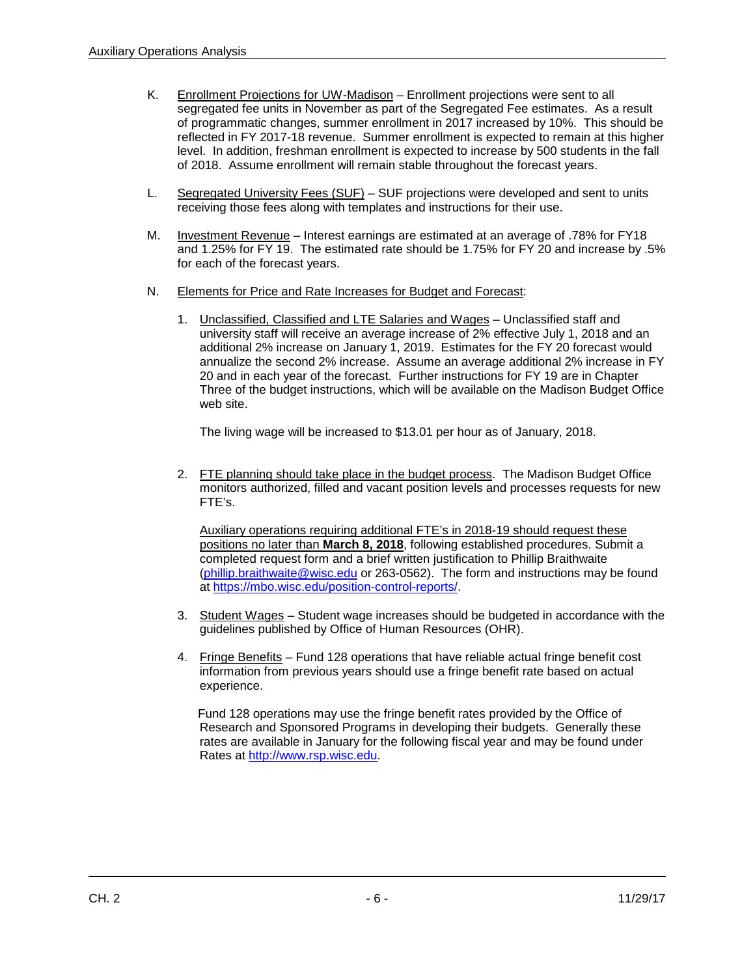- K. Enrollment Projections for UW-Madison Enrollment projections were sent to all segregated fee units in November as part of the Segregated Fee estimates. As a result of programmatic changes, summer enrollment in 2017 increased by 10%. This should be reflected in FY 2017-18 revenue. Summer enrollment is expected to remain at this higher level. In addition, freshman enrollment is expected to increase by 500 students in the fall of 2018. Assume enrollment will remain stable throughout the forecast years.
- L. Segregated University Fees (SUF) SUF projections were developed and sent to units receiving those fees along with templates and instructions for their use.
- M. Investment Revenue Interest earnings are estimated at an average of .78% for FY18 and 1.25% for FY 19. The estimated rate should be 1.75% for FY 20 and increase by .5% for each of the forecast years.
- N. Elements for Price and Rate Increases for Budget and Forecast:
	- 1. Unclassified, Classified and LTE Salaries and Wages Unclassified staff and university staff will receive an average increase of 2% effective July 1, 2018 and an additional 2% increase on January 1, 2019. Estimates for the FY 20 forecast would annualize the second 2% increase. Assume an average additional 2% increase in FY 20 and in each year of the forecast. Further instructions for FY 19 are in Chapter Three of the budget instructions, which will be available on the Madison Budget Office web site.

The living wage will be increased to \$13.01 per hour as of January, 2018.

2. FTE planning should take place in the budget process. The Madison Budget Office monitors authorized, filled and vacant position levels and processes requests for new FTE's.

Auxiliary operations requiring additional FTE's in 2018-19 should request these positions no later than **March 8, 2018**, following established procedures. Submit a completed request form and a brief written justification to Phillip Braithwaite [\(phillip.braithwaite@wisc.edu](mailto:phillip.braithwaite@wisc.edu) or 263-0562). The form and instructions may be found at [https://mbo.wisc.edu/position-control-reports/.](https://mbo.wisc.edu/position-control-reports/)

- 3. Student Wages Student wage increases should be budgeted in accordance with the guidelines published by Office of Human Resources (OHR).
- 4. Fringe Benefits Fund 128 operations that have reliable actual fringe benefit cost information from previous years should use a fringe benefit rate based on actual experience.

 Fund 128 operations may use the fringe benefit rates provided by the Office of Research and Sponsored Programs in developing their budgets. Generally these rates are available in January for the following fiscal year and may be found under Rates at [http://www.rsp.wisc.edu.](http://www.rsp.wisc.edu/)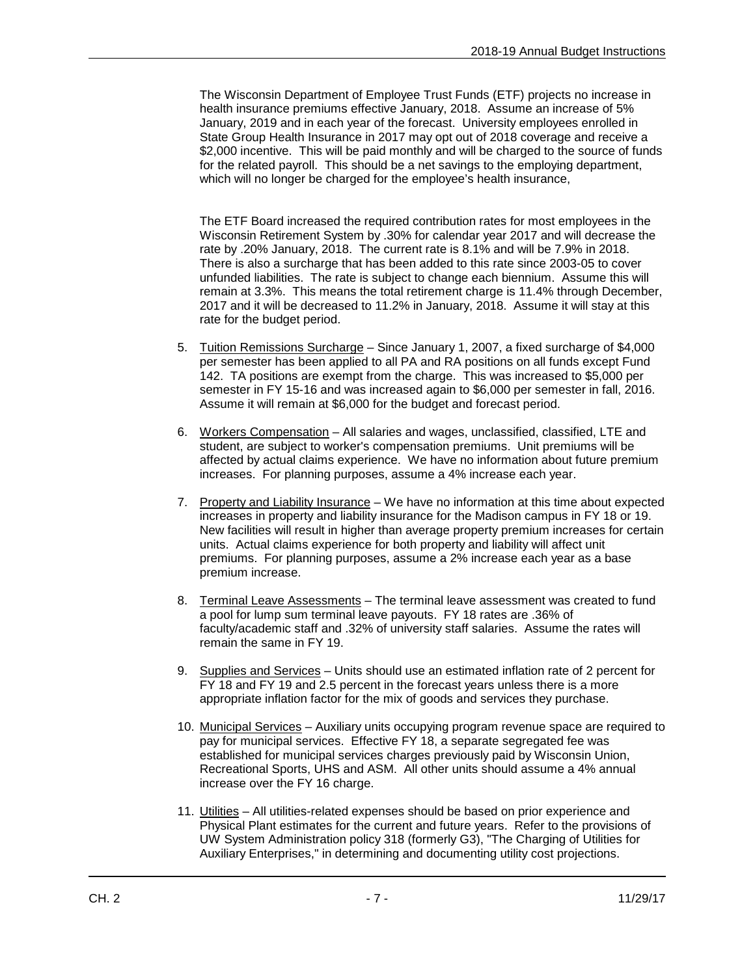The Wisconsin Department of Employee Trust Funds (ETF) projects no increase in health insurance premiums effective January, 2018. Assume an increase of 5% January, 2019 and in each year of the forecast. University employees enrolled in State Group Health Insurance in 2017 may opt out of 2018 coverage and receive a \$2,000 incentive. This will be paid monthly and will be charged to the source of funds for the related payroll. This should be a net savings to the employing department, which will no longer be charged for the employee's health insurance,

The ETF Board increased the required contribution rates for most employees in the Wisconsin Retirement System by .30% for calendar year 2017 and will decrease the rate by .20% January, 2018. The current rate is 8.1% and will be 7.9% in 2018. There is also a surcharge that has been added to this rate since 2003-05 to cover unfunded liabilities. The rate is subject to change each biennium. Assume this will remain at 3.3%. This means the total retirement charge is 11.4% through December, 2017 and it will be decreased to 11.2% in January, 2018. Assume it will stay at this rate for the budget period.

- 5. Tuition Remissions Surcharge Since January 1, 2007, a fixed surcharge of \$4,000 per semester has been applied to all PA and RA positions on all funds except Fund 142. TA positions are exempt from the charge. This was increased to \$5,000 per semester in FY 15-16 and was increased again to \$6,000 per semester in fall, 2016. Assume it will remain at \$6,000 for the budget and forecast period.
- 6. Workers Compensation All salaries and wages, unclassified, classified, LTE and student, are subject to worker's compensation premiums. Unit premiums will be affected by actual claims experience. We have no information about future premium increases. For planning purposes, assume a 4% increase each year.
- 7. Property and Liability Insurance We have no information at this time about expected increases in property and liability insurance for the Madison campus in FY 18 or 19. New facilities will result in higher than average property premium increases for certain units. Actual claims experience for both property and liability will affect unit premiums. For planning purposes, assume a 2% increase each year as a base premium increase.
- 8. Terminal Leave Assessments The terminal leave assessment was created to fund a pool for lump sum terminal leave payouts. FY 18 rates are .36% of faculty/academic staff and .32% of university staff salaries. Assume the rates will remain the same in FY 19.
- 9. Supplies and Services Units should use an estimated inflation rate of 2 percent for FY 18 and FY 19 and 2.5 percent in the forecast years unless there is a more appropriate inflation factor for the mix of goods and services they purchase.
- 10. Municipal Services Auxiliary units occupying program revenue space are required to pay for municipal services. Effective FY 18, a separate segregated fee was established for municipal services charges previously paid by Wisconsin Union, Recreational Sports, UHS and ASM. All other units should assume a 4% annual increase over the FY 16 charge.
- 11. Utilities All utilities-related expenses should be based on prior experience and Physical Plant estimates for the current and future years. Refer to the provisions of UW System Administration policy 318 (formerly G3), "The Charging of Utilities for Auxiliary Enterprises," in determining and documenting utility cost projections.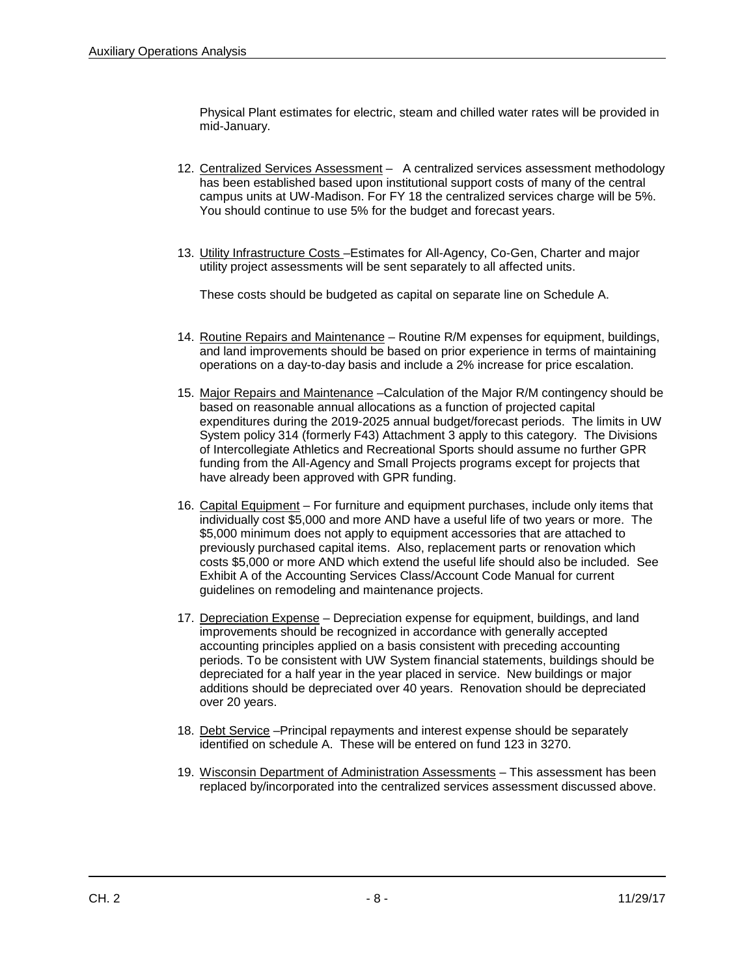Physical Plant estimates for electric, steam and chilled water rates will be provided in mid-January.

- 12. Centralized Services Assessment A centralized services assessment methodology has been established based upon institutional support costs of many of the central campus units at UW-Madison. For FY 18 the centralized services charge will be 5%. You should continue to use 5% for the budget and forecast years.
- 13. Utility Infrastructure Costs –Estimates for All-Agency, Co-Gen, Charter and major utility project assessments will be sent separately to all affected units.

These costs should be budgeted as capital on separate line on Schedule A.

- 14. Routine Repairs and Maintenance Routine R/M expenses for equipment, buildings, and land improvements should be based on prior experience in terms of maintaining operations on a day-to-day basis and include a 2% increase for price escalation.
- 15. Major Repairs and Maintenance –Calculation of the Major R/M contingency should be based on reasonable annual allocations as a function of projected capital expenditures during the 2019-2025 annual budget/forecast periods. The limits in UW System policy 314 (formerly F43) Attachment 3 apply to this category. The Divisions of Intercollegiate Athletics and Recreational Sports should assume no further GPR funding from the All-Agency and Small Projects programs except for projects that have already been approved with GPR funding.
- 16. Capital Equipment For furniture and equipment purchases, include only items that individually cost \$5,000 and more AND have a useful life of two years or more. The \$5,000 minimum does not apply to equipment accessories that are attached to previously purchased capital items. Also, replacement parts or renovation which costs \$5,000 or more AND which extend the useful life should also be included. See Exhibit A of the Accounting Services Class/Account Code Manual for current guidelines on remodeling and maintenance projects.
- 17. Depreciation Expense Depreciation expense for equipment, buildings, and land improvements should be recognized in accordance with generally accepted accounting principles applied on a basis consistent with preceding accounting periods. To be consistent with UW System financial statements, buildings should be depreciated for a half year in the year placed in service. New buildings or major additions should be depreciated over 40 years. Renovation should be depreciated over 20 years.
- 18. Debt Service -Principal repayments and interest expense should be separately identified on schedule A. These will be entered on fund 123 in 3270.
- 19. Wisconsin Department of Administration Assessments This assessment has been replaced by/incorporated into the centralized services assessment discussed above.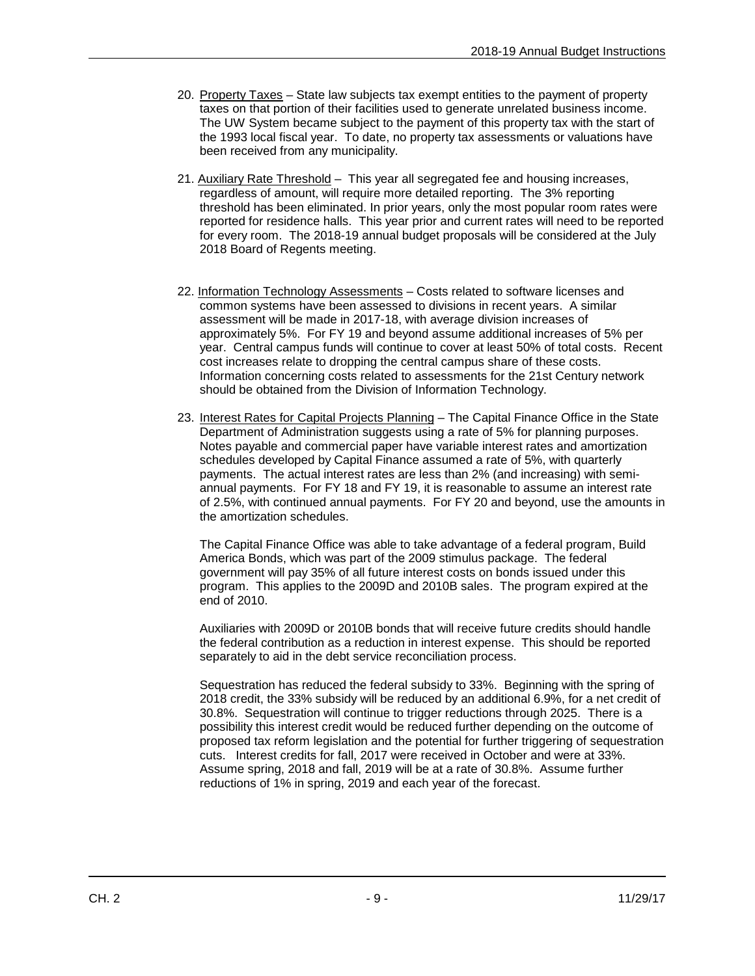- 20. Property Taxes State law subjects tax exempt entities to the payment of property taxes on that portion of their facilities used to generate unrelated business income. The UW System became subject to the payment of this property tax with the start of the 1993 local fiscal year. To date, no property tax assessments or valuations have been received from any municipality.
- 21. Auxiliary Rate Threshold This year all segregated fee and housing increases, regardless of amount, will require more detailed reporting. The 3% reporting threshold has been eliminated. In prior years, only the most popular room rates were reported for residence halls. This year prior and current rates will need to be reported for every room. The 2018-19 annual budget proposals will be considered at the July 2018 Board of Regents meeting.
- 22. Information Technology Assessments Costs related to software licenses and common systems have been assessed to divisions in recent years. A similar assessment will be made in 2017-18, with average division increases of approximately 5%. For FY 19 and beyond assume additional increases of 5% per year. Central campus funds will continue to cover at least 50% of total costs. Recent cost increases relate to dropping the central campus share of these costs. Information concerning costs related to assessments for the 21st Century network should be obtained from the Division of Information Technology.
- 23. Interest Rates for Capital Projects Planning The Capital Finance Office in the State Department of Administration suggests using a rate of 5% for planning purposes. Notes payable and commercial paper have variable interest rates and amortization schedules developed by Capital Finance assumed a rate of 5%, with quarterly payments. The actual interest rates are less than 2% (and increasing) with semiannual payments. For FY 18 and FY 19, it is reasonable to assume an interest rate of 2.5%, with continued annual payments. For FY 20 and beyond, use the amounts in the amortization schedules.

The Capital Finance Office was able to take advantage of a federal program, Build America Bonds, which was part of the 2009 stimulus package. The federal government will pay 35% of all future interest costs on bonds issued under this program. This applies to the 2009D and 2010B sales. The program expired at the end of 2010.

Auxiliaries with 2009D or 2010B bonds that will receive future credits should handle the federal contribution as a reduction in interest expense. This should be reported separately to aid in the debt service reconciliation process.

Sequestration has reduced the federal subsidy to 33%. Beginning with the spring of 2018 credit, the 33% subsidy will be reduced by an additional 6.9%, for a net credit of 30.8%. Sequestration will continue to trigger reductions through 2025. There is a possibility this interest credit would be reduced further depending on the outcome of proposed tax reform legislation and the potential for further triggering of sequestration cuts. Interest credits for fall, 2017 were received in October and were at 33%. Assume spring, 2018 and fall, 2019 will be at a rate of 30.8%. Assume further reductions of 1% in spring, 2019 and each year of the forecast.